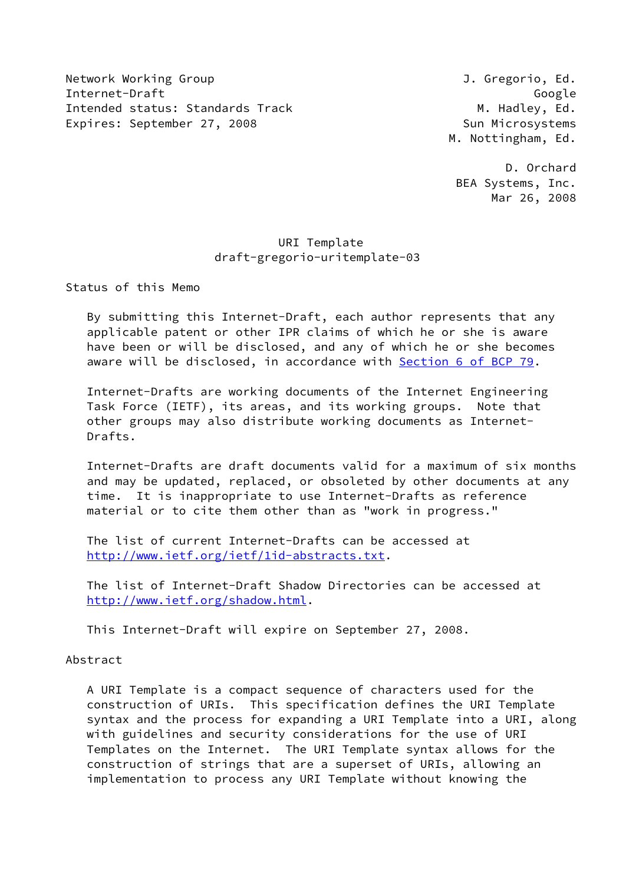Network Working Group **J. Gregorio, Ed.** Internet-Draft Google Intended status: Standards Track M. Hadley, Ed. Expires: September 27, 2008 Sun Microsystems

M. Nottingham, Ed.

 D. Orchard BEA Systems, Inc. Mar 26, 2008

# URI Template draft-gregorio-uritemplate-03

Status of this Memo

 By submitting this Internet-Draft, each author represents that any applicable patent or other IPR claims of which he or she is aware have been or will be disclosed, and any of which he or she becomes aware will be disclosed, in accordance with Section [6 of BCP 79.](https://datatracker.ietf.org/doc/pdf/bcp79#section-6)

 Internet-Drafts are working documents of the Internet Engineering Task Force (IETF), its areas, and its working groups. Note that other groups may also distribute working documents as Internet- Drafts.

 Internet-Drafts are draft documents valid for a maximum of six months and may be updated, replaced, or obsoleted by other documents at any time. It is inappropriate to use Internet-Drafts as reference material or to cite them other than as "work in progress."

 The list of current Internet-Drafts can be accessed at <http://www.ietf.org/ietf/1id-abstracts.txt>.

 The list of Internet-Draft Shadow Directories can be accessed at <http://www.ietf.org/shadow.html>.

This Internet-Draft will expire on September 27, 2008.

## Abstract

 A URI Template is a compact sequence of characters used for the construction of URIs. This specification defines the URI Template syntax and the process for expanding a URI Template into a URI, along with guidelines and security considerations for the use of URI Templates on the Internet. The URI Template syntax allows for the construction of strings that are a superset of URIs, allowing an implementation to process any URI Template without knowing the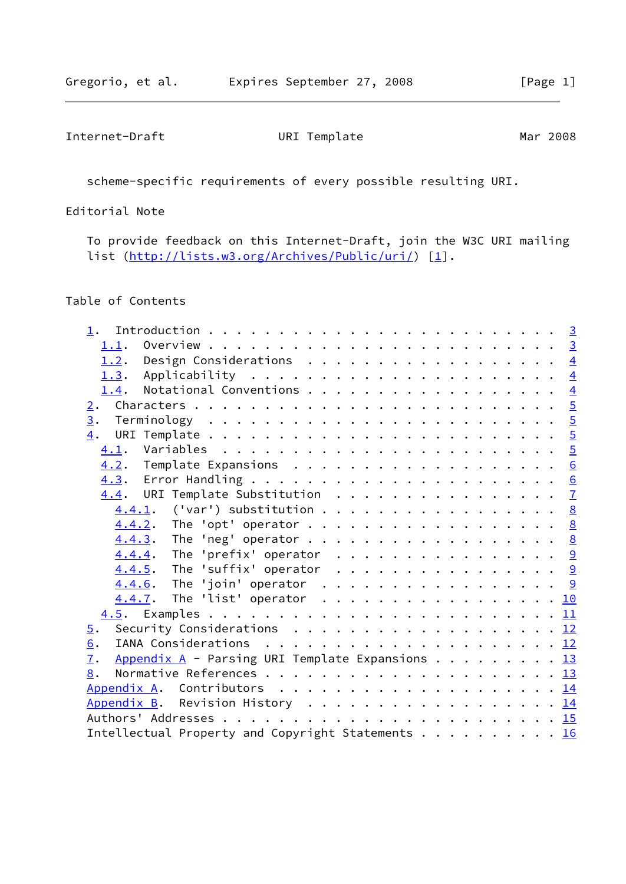scheme-specific requirements of every possible resulting URI.

Editorial Note

 To provide feedback on this Internet-Draft, join the W3C URI mailing list [\(http://lists.w3.org/Archives/Public/uri/](http://lists.w3.org/Archives/Public/uri/)) [\[1](#page-15-0)].

## Table of Contents

| 1.2. Design Considerations $\frac{4}{5}$                                                                    |  |
|-------------------------------------------------------------------------------------------------------------|--|
| <u>1.3</u> . Applicability <u>4</u>                                                                         |  |
| 1.4. Notational Conventions 4                                                                               |  |
| 2.                                                                                                          |  |
|                                                                                                             |  |
| 4.                                                                                                          |  |
| 4.1.                                                                                                        |  |
|                                                                                                             |  |
|                                                                                                             |  |
| 4.4. URI Template Substitution 7                                                                            |  |
| 4.4.1. ('var') substitution 8                                                                               |  |
| $4.4.2$ . The 'opt' operator 8                                                                              |  |
| $4.4.3$ . The 'neg' operator 8                                                                              |  |
| $4.4.4$ . The 'prefix' operator 9                                                                           |  |
| $4.4.5$ . The 'suffix' operator 9                                                                           |  |
| $4.4.6$ . The 'join' operator 9                                                                             |  |
| 4.4.7. The 'list' operator 10                                                                               |  |
|                                                                                                             |  |
| Security Considerations $\ldots \ldots \ldots \ldots \ldots \ldots \ldots \frac{12}{2}$<br>$\overline{5}$ . |  |
| 6.                                                                                                          |  |
| Appendix A - Parsing URI Template Expansions 13<br>7.                                                       |  |
| 8.                                                                                                          |  |
|                                                                                                             |  |
| Appendix B. Revision History 14                                                                             |  |
|                                                                                                             |  |
| Intellectual Property and Copyright Statements 16                                                           |  |
|                                                                                                             |  |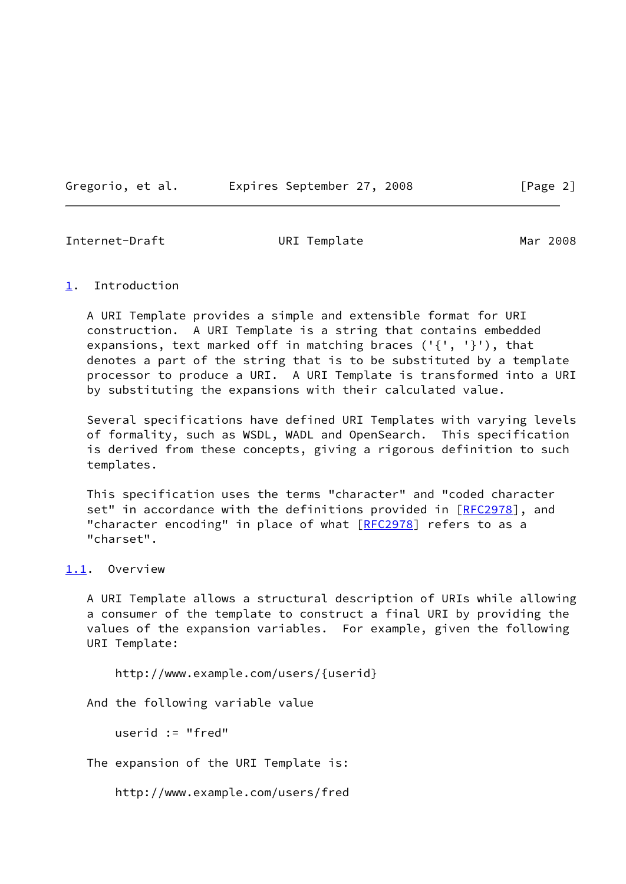Gregorio, et al. Expires September 27, 2008 [Page 2]

<span id="page-2-1"></span>Internet-Draft URI Template Mar 2008

<span id="page-2-0"></span>[1](#page-2-0). Introduction

 A URI Template provides a simple and extensible format for URI construction. A URI Template is a string that contains embedded expansions, text marked off in matching braces  $( '{ ' , ' }')$ , that denotes a part of the string that is to be substituted by a template processor to produce a URI. A URI Template is transformed into a URI by substituting the expansions with their calculated value.

 Several specifications have defined URI Templates with varying levels of formality, such as WSDL, WADL and OpenSearch. This specification is derived from these concepts, giving a rigorous definition to such templates.

 This specification uses the terms "character" and "coded character set" in accordance with the definitions provided in [\[RFC2978](https://datatracker.ietf.org/doc/pdf/rfc2978)], and "character encoding" in place of what [[RFC2978](https://datatracker.ietf.org/doc/pdf/rfc2978)] refers to as a "charset".

## <span id="page-2-2"></span>[1.1](#page-2-2). Overview

 A URI Template allows a structural description of URIs while allowing a consumer of the template to construct a final URI by providing the values of the expansion variables. For example, given the following URI Template:

http://www.example.com/users/{userid}

And the following variable value

userid := "fred"

The expansion of the URI Template is:

http://www.example.com/users/fred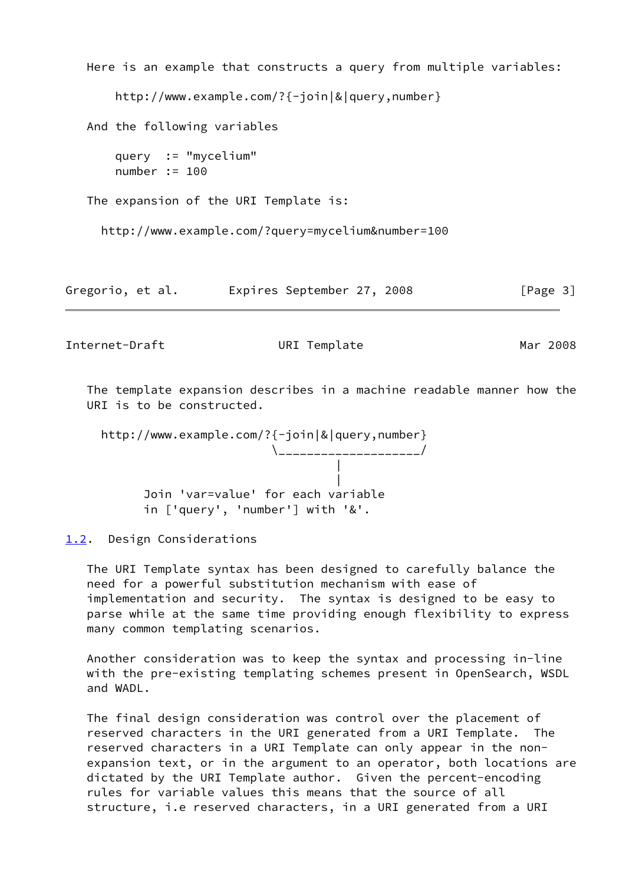```
 Here is an example that constructs a query from multiple variables:
       http://www.example.com/?{-join|&|query,number}
   And the following variables
       query := "mycelium"
       number := 100
   The expansion of the URI Template is:
     http://www.example.com/?query=mycelium&number=100
Gregorio, et al.  Expires September 27, 2008 [Page 3]
```
<span id="page-3-1"></span> The template expansion describes in a machine readable manner how the URI is to be constructed.

 http://www.example.com/?{-join|&|query,number} \\_\_\_\_\_\_\_\_\_\_\_\_\_\_\_\_\_\_\_\_/ | | Join 'var=value' for each variable in ['query', 'number'] with '&'.

<span id="page-3-0"></span>[1.2](#page-3-0). Design Considerations

 The URI Template syntax has been designed to carefully balance the need for a powerful substitution mechanism with ease of implementation and security. The syntax is designed to be easy to parse while at the same time providing enough flexibility to express many common templating scenarios.

 Another consideration was to keep the syntax and processing in-line with the pre-existing templating schemes present in OpenSearch, WSDL and WADL.

 The final design consideration was control over the placement of reserved characters in the URI generated from a URI Template. The reserved characters in a URI Template can only appear in the non expansion text, or in the argument to an operator, both locations are dictated by the URI Template author. Given the percent-encoding rules for variable values this means that the source of all structure, i.e reserved characters, in a URI generated from a URI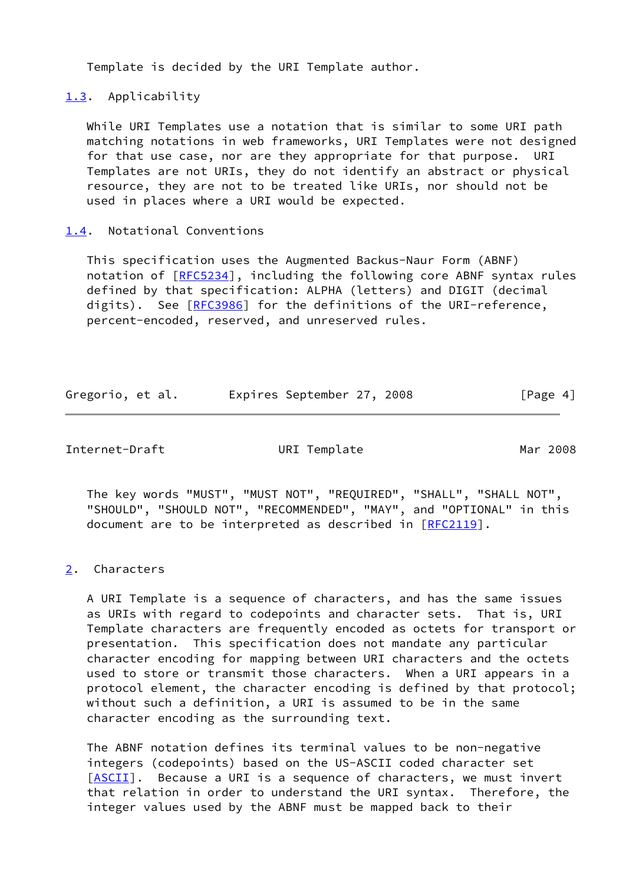Template is decided by the URI Template author.

<span id="page-4-0"></span>[1.3](#page-4-0). Applicability

 While URI Templates use a notation that is similar to some URI path matching notations in web frameworks, URI Templates were not designed for that use case, nor are they appropriate for that purpose. URI Templates are not URIs, they do not identify an abstract or physical resource, they are not to be treated like URIs, nor should not be used in places where a URI would be expected.

### <span id="page-4-1"></span>[1.4](#page-4-1). Notational Conventions

 This specification uses the Augmented Backus-Naur Form (ABNF) notation of [\[RFC5234](https://datatracker.ietf.org/doc/pdf/rfc5234)], including the following core ABNF syntax rules defined by that specification: ALPHA (letters) and DIGIT (decimal digits). See [[RFC3986](https://datatracker.ietf.org/doc/pdf/rfc3986)] for the definitions of the URI-reference, percent-encoded, reserved, and unreserved rules.

| Gregorio, et al. |  | Expires September 27, 2008 |  | [Page 4] |  |
|------------------|--|----------------------------|--|----------|--|

<span id="page-4-3"></span>Internet-Draft URI Template Mar 2008

 The key words "MUST", "MUST NOT", "REQUIRED", "SHALL", "SHALL NOT", "SHOULD", "SHOULD NOT", "RECOMMENDED", "MAY", and "OPTIONAL" in this document are to be interpreted as described in [\[RFC2119](https://datatracker.ietf.org/doc/pdf/rfc2119)].

<span id="page-4-2"></span>[2](#page-4-2). Characters

 A URI Template is a sequence of characters, and has the same issues as URIs with regard to codepoints and character sets. That is, URI Template characters are frequently encoded as octets for transport or presentation. This specification does not mandate any particular character encoding for mapping between URI characters and the octets used to store or transmit those characters. When a URI appears in a protocol element, the character encoding is defined by that protocol; without such a definition, a URI is assumed to be in the same character encoding as the surrounding text.

 The ABNF notation defines its terminal values to be non-negative integers (codepoints) based on the US-ASCII coded character set [\[ASCII](#page-14-2)]. Because a URI is a sequence of characters, we must invert that relation in order to understand the URI syntax. Therefore, the integer values used by the ABNF must be mapped back to their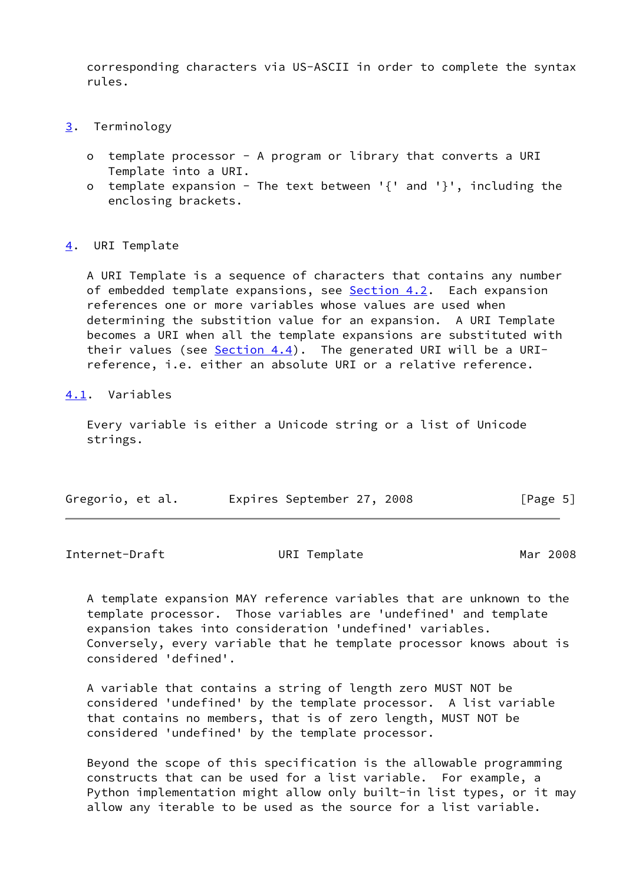corresponding characters via US-ASCII in order to complete the syntax rules.

- <span id="page-5-0"></span>[3](#page-5-0). Terminology
	- o template processor A program or library that converts a URI Template into a URI.
	- o template expansion The text between '{' and '}', including the enclosing brackets.

<span id="page-5-1"></span>[4](#page-5-1). URI Template

 A URI Template is a sequence of characters that contains any number of embedded template expansions, see [Section 4.2](#page-6-0). Each expansion references one or more variables whose values are used when determining the substition value for an expansion. A URI Template becomes a URI when all the template expansions are substituted with their values (see [Section 4.4](#page-6-2)). The generated URI will be a URI reference, i.e. either an absolute URI or a relative reference.

<span id="page-5-2"></span>[4.1](#page-5-2). Variables

 Every variable is either a Unicode string or a list of Unicode strings.

| Gregorio, et al. |  | Expires September 27, 2008 |  | [Page 5] |  |
|------------------|--|----------------------------|--|----------|--|
|                  |  |                            |  |          |  |

<span id="page-5-3"></span>Internet-Draft URI Template Mar 2008

 A template expansion MAY reference variables that are unknown to the template processor. Those variables are 'undefined' and template expansion takes into consideration 'undefined' variables. Conversely, every variable that he template processor knows about is considered 'defined'.

 A variable that contains a string of length zero MUST NOT be considered 'undefined' by the template processor. A list variable that contains no members, that is of zero length, MUST NOT be considered 'undefined' by the template processor.

 Beyond the scope of this specification is the allowable programming constructs that can be used for a list variable. For example, a Python implementation might allow only built-in list types, or it may allow any iterable to be used as the source for a list variable.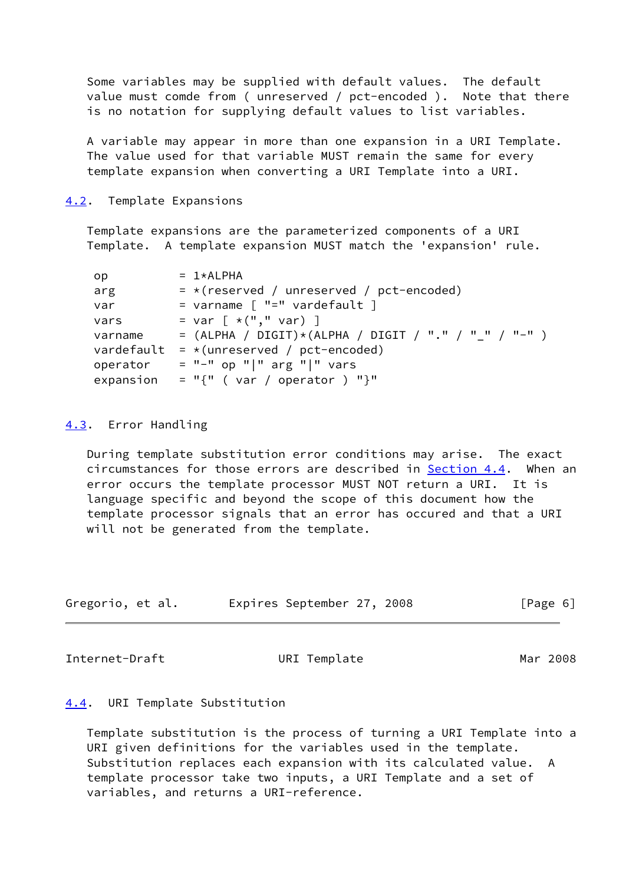Some variables may be supplied with default values. The default value must comde from ( unreserved / pct-encoded ). Note that there is no notation for supplying default values to list variables.

 A variable may appear in more than one expansion in a URI Template. The value used for that variable MUST remain the same for every template expansion when converting a URI Template into a URI.

<span id="page-6-0"></span>[4.2](#page-6-0). Template Expansions

 Template expansions are the parameterized components of a URI Template. A template expansion MUST match the 'expansion' rule.

| op.       | $= 1*ALPHA$                                          |
|-----------|------------------------------------------------------|
| arg       | $=$ *(reserved / unreserved / pct-encoded)           |
| var       | = varname $\lceil$ "=" vardefault $\rceil$           |
| vars      | = $var \, [ *("", " var) ]$                          |
| varname   | = (ALPHA / DIGIT)*(ALPHA / DIGIT / "." / "_" / "-" ) |
|           | vardefault = $*(unreserved / pot-encoded)$           |
| operator  | $=$ "-" op " " arg " " vars                          |
| expansion | $= "{" (var / operator ) "}$                         |

## <span id="page-6-1"></span>[4.3](#page-6-1). Error Handling

 During template substitution error conditions may arise. The exact circumstances for those errors are described in **Section 4.4.** When an error occurs the template processor MUST NOT return a URI. It is language specific and beyond the scope of this document how the template processor signals that an error has occured and that a URI will not be generated from the template.

| Gregorio, et al. | Expires September 27, 2008 |  | [Page 6] |
|------------------|----------------------------|--|----------|
|------------------|----------------------------|--|----------|

<span id="page-6-3"></span>Internet-Draft URI Template Mar 2008

#### <span id="page-6-2"></span>[4.4](#page-6-2). URI Template Substitution

 Template substitution is the process of turning a URI Template into a URI given definitions for the variables used in the template. Substitution replaces each expansion with its calculated value. A template processor take two inputs, a URI Template and a set of variables, and returns a URI-reference.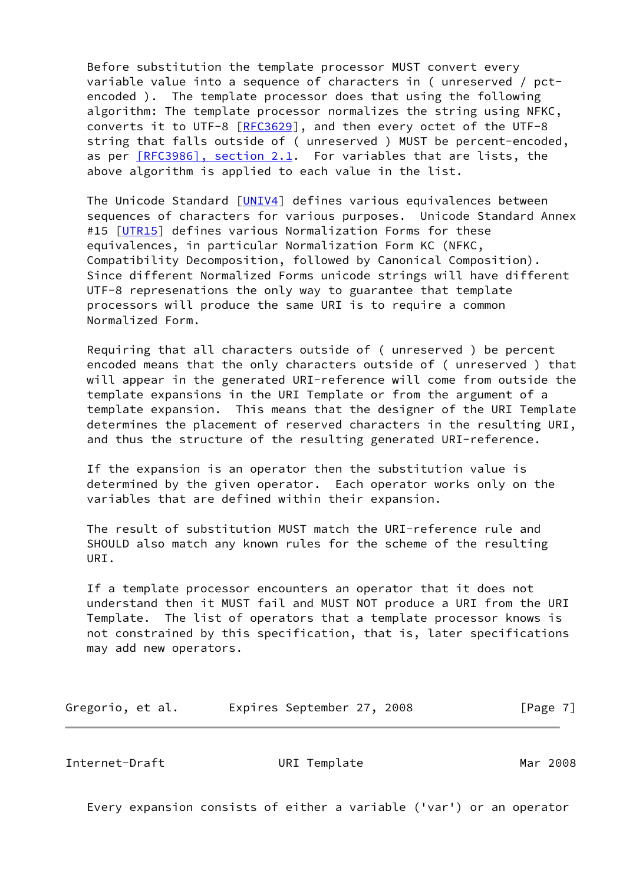Before substitution the template processor MUST convert every variable value into a sequence of characters in ( unreserved / pct encoded ). The template processor does that using the following algorithm: The template processor normalizes the string using NFKC, converts it to UTF-8 [\[RFC3629](https://datatracker.ietf.org/doc/pdf/rfc3629)], and then every octet of the UTF-8 string that falls outside of ( unreserved ) MUST be percent-encoded, as per [\[RFC3986\], section](https://datatracker.ietf.org/doc/pdf/rfc3986#section-2.1) 2.1. For variables that are lists, the above algorithm is applied to each value in the list.

The Unicode Standard [\[UNIV4\]](#page-15-4) defines various equivalences between sequences of characters for various purposes. Unicode Standard Annex #15 [\[UTR15](#page-15-5)] defines various Normalization Forms for these equivalences, in particular Normalization Form KC (NFKC, Compatibility Decomposition, followed by Canonical Composition). Since different Normalized Forms unicode strings will have different UTF-8 represenations the only way to guarantee that template processors will produce the same URI is to require a common Normalized Form.

 Requiring that all characters outside of ( unreserved ) be percent encoded means that the only characters outside of ( unreserved ) that will appear in the generated URI-reference will come from outside the template expansions in the URI Template or from the argument of a template expansion. This means that the designer of the URI Template determines the placement of reserved characters in the resulting URI, and thus the structure of the resulting generated URI-reference.

 If the expansion is an operator then the substitution value is determined by the given operator. Each operator works only on the variables that are defined within their expansion.

 The result of substitution MUST match the URI-reference rule and SHOULD also match any known rules for the scheme of the resulting URI.

 If a template processor encounters an operator that it does not understand then it MUST fail and MUST NOT produce a URI from the URI Template. The list of operators that a template processor knows is not constrained by this specification, that is, later specifications may add new operators.

Gregorio, et al. **Expires September 27, 2008** [Page 7]

<span id="page-7-0"></span>Internet-Draft **URI Template** Mar 2008

Every expansion consists of either a variable ('var') or an operator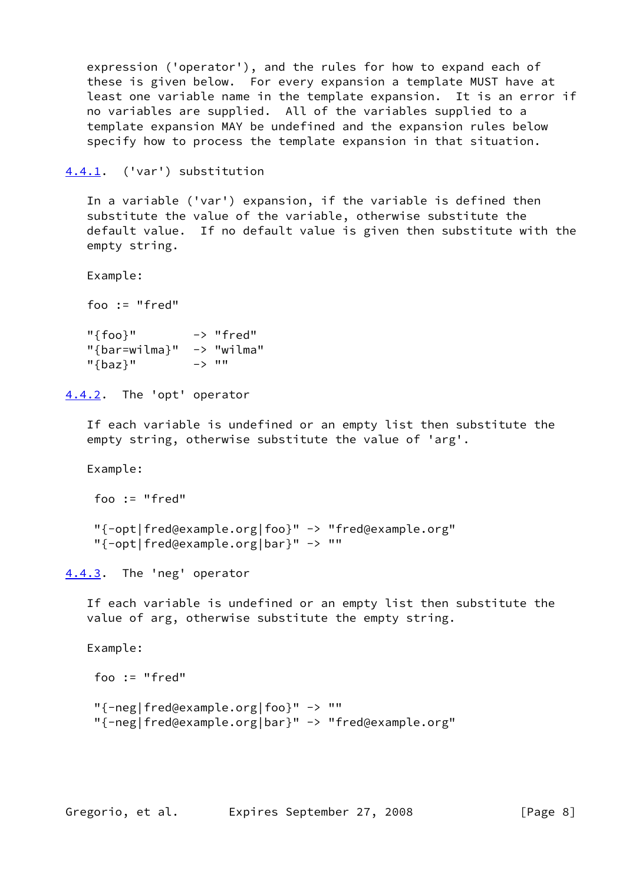expression ('operator'), and the rules for how to expand each of these is given below. For every expansion a template MUST have at least one variable name in the template expansion. It is an error if no variables are supplied. All of the variables supplied to a template expansion MAY be undefined and the expansion rules below specify how to process the template expansion in that situation.

<span id="page-8-0"></span>[4.4.1](#page-8-0). ('var') substitution

 In a variable ('var') expansion, if the variable is defined then substitute the value of the variable, otherwise substitute the default value. If no default value is given then substitute with the empty string.

Example:

foo := "fred"

 "{foo}" -> "fred" "{bar=wilma}" -> "wilma" "{baz}" -> ""

<span id="page-8-1"></span>[4.4.2](#page-8-1). The 'opt' operator

 If each variable is undefined or an empty list then substitute the empty string, otherwise substitute the value of 'arg'.

Example:

foo := "fred"

 "{-opt|fred@example.org|foo}" -> "fred@example.org" "{-opt|fred@example.org|bar}" -> ""

<span id="page-8-2"></span>[4.4.3](#page-8-2). The 'neg' operator

 If each variable is undefined or an empty list then substitute the value of arg, otherwise substitute the empty string.

Example:

 foo := "fred" "{-neg|fred@example.org|foo}" -> "" "{-neg|fred@example.org|bar}" -> "fred@example.org"

Gregorio, et al. Expires September 27, 2008 [Page 8]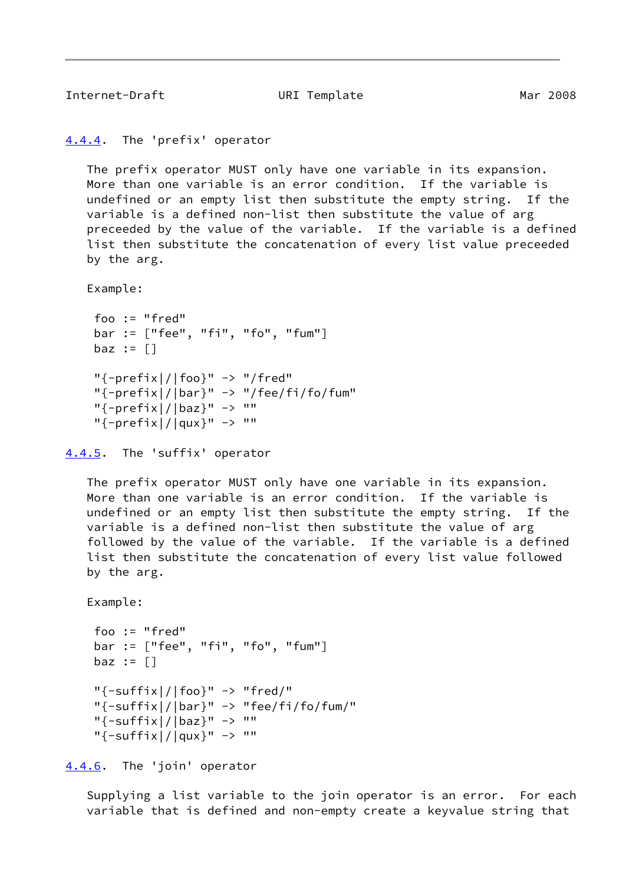```
4.4.4. The 'prefix' operator
```
 The prefix operator MUST only have one variable in its expansion. More than one variable is an error condition. If the variable is undefined or an empty list then substitute the empty string. If the variable is a defined non-list then substitute the value of arg preceeded by the value of the variable. If the variable is a defined list then substitute the concatenation of every list value preceeded by the arg.

Example:

```
 foo := "fred"
 bar := ["fee", "fi", "fo", "fum"]
baz := \lceil \rceil"{-prefix}|/|foo}" -> "/fred" "{-prefix|/|bar}" -> "/fee/fi/fo/fum"
 "{-prefix|/|baz}" -> ""
 "{-prefix|/|qux}" -> ""
```

```
4.4.5. The 'suffix' operator
```
 The prefix operator MUST only have one variable in its expansion. More than one variable is an error condition. If the variable is undefined or an empty list then substitute the empty string. If the variable is a defined non-list then substitute the value of arg followed by the value of the variable. If the variable is a defined list then substitute the concatenation of every list value followed by the arg.

```
 Example:
```

```
 foo := "fred"
 bar := ["fee", "fi", "fo", "fum"]
\texttt{baz} := []"{-}suffix|/|foo" -> "fred/"
 "{-suffix|/|bar}" -> "fee/fi/fo/fum/"
 "{-suffix|/|baz}" -> ""
 "{-suffix|/|qux}" -> ""
```
<span id="page-9-3"></span>[4.4.6](#page-9-3). The 'join' operator

 Supplying a list variable to the join operator is an error. For each variable that is defined and non-empty create a keyvalue string that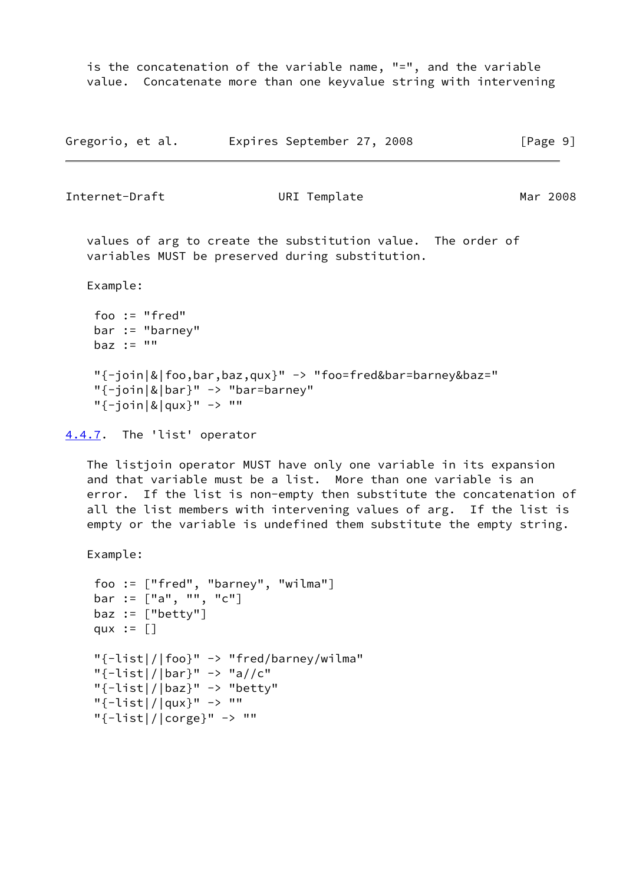is the concatenation of the variable name, "=", and the variable value. Concatenate more than one keyvalue string with intervening

| Gregorio, et al. | Expires September 27, 2008 | [Page 9] |
|------------------|----------------------------|----------|
|------------------|----------------------------|----------|

<span id="page-10-1"></span>Internet-Draft **URI** Template Mar 2008

 values of arg to create the substitution value. The order of variables MUST be preserved during substitution.

Example:

```
 foo := "fred"
 bar := "barney"
\text{baz} := "" "{-join|&|foo,bar,baz,qux}" -> "foo=fred&bar=barney&baz="
"{-join}|&|bar}" -> "bar=barney"
"{-join|&|qux}" -> ""
```

```
4.4.7. The 'list' operator
```
 The listjoin operator MUST have only one variable in its expansion and that variable must be a list. More than one variable is an error. If the list is non-empty then substitute the concatenation of all the list members with intervening values of arg. If the list is empty or the variable is undefined them substitute the empty string.

Example:

```
 foo := ["fred", "barney", "wilma"]
bar := ["a", "", "c"]
\texttt{baz} := [\texttt{"betty"}]qux := [] "{-list|/|foo}" -> "fred/barney/wilma"
"{-}list|/|bar" -> "a//c""{-list}|/|baz}" -> "better""{-list}|/|qux}" -> "" "{-list|/|corge}" -> ""
```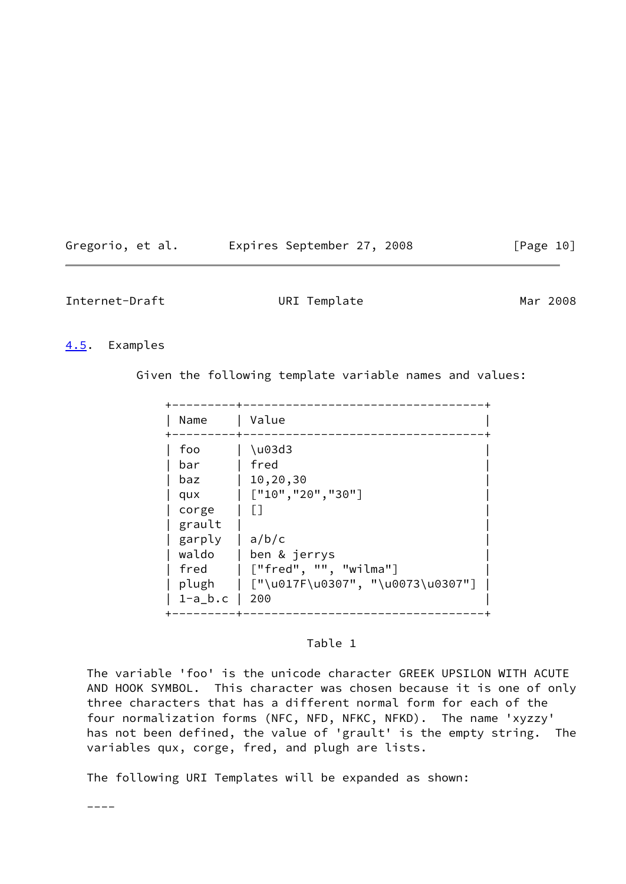<span id="page-11-1"></span>

| Gregorio, et al. | Expires September 27, 2008 |  | [Page 10] |
|------------------|----------------------------|--|-----------|
|------------------|----------------------------|--|-----------|

## <span id="page-11-0"></span>[4.5](#page-11-0). Examples

Given the following template variable names and values:

| Name                                      | Value                                                                                           |                                                                                                      |
|-------------------------------------------|-------------------------------------------------------------------------------------------------|------------------------------------------------------------------------------------------------------|
| foo<br>bar<br>baz<br>qux<br>corge<br>fred | $\u03d3$<br>fred<br>10,20,30<br>grault<br>garply<br>a/b/c<br>waldo<br>plugh<br>$1-a_b.c$<br>200 | $[$ "10", "20", "30"]<br>ben & jerrys<br>["fred", "", "wilma"]<br>  ["\u017F\u0307", "\u0073\u0307"] |

## Table 1

 The variable 'foo' is the unicode character GREEK UPSILON WITH ACUTE AND HOOK SYMBOL. This character was chosen because it is one of only three characters that has a different normal form for each of the four normalization forms (NFC, NFD, NFKC, NFKD). The name 'xyzzy' has not been defined, the value of 'grault' is the empty string. The variables qux, corge, fred, and plugh are lists.

The following URI Templates will be expanded as shown:

----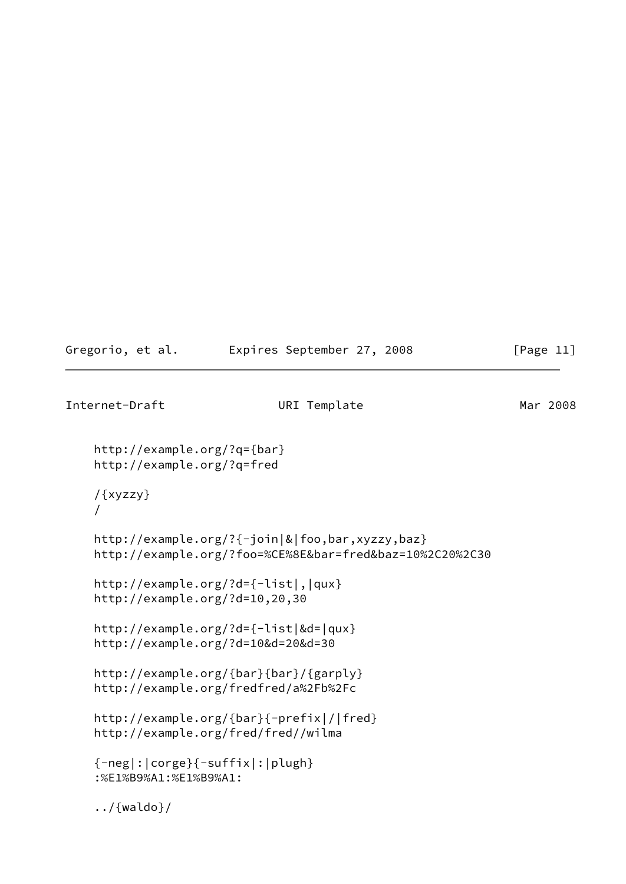|  | Gregorio, et al. |  |  | Expires September 27, 2008 |  |  |
|--|------------------|--|--|----------------------------|--|--|
|--|------------------|--|--|----------------------------|--|--|

```
[Page 11]
```

```
Internet-Draft URI Template Mar 2008
    http://example.org/?q={bar}
    http://example.org/?q=fred
    /{xyzzy}
     /
    http://example.org/?{-join|&|foo,bar,xyzzy,baz}
    http://example.org/?foo=%CE%8E&bar=fred&baz=10%2C20%2C30
    http://example.org/?d={-list|,|qux}
    http://example.org/?d=10,20,30
    http://example.org/?d={-list|&d=|qux}
    http://example.org/?d=10&d=20&d=30
    http://example.org/{bar}{bar}/{garply}
    http://example.org/fredfred/a%2Fb%2Fc
    http://example.org/{bar}{-prefix|/|fred}
    http://example.org/fred/fred//wilma
     {-neg|:|corge}{-suffix|:|plugh}
     :%E1%B9%A1:%E1%B9%A1:
     ../{waldo}/
```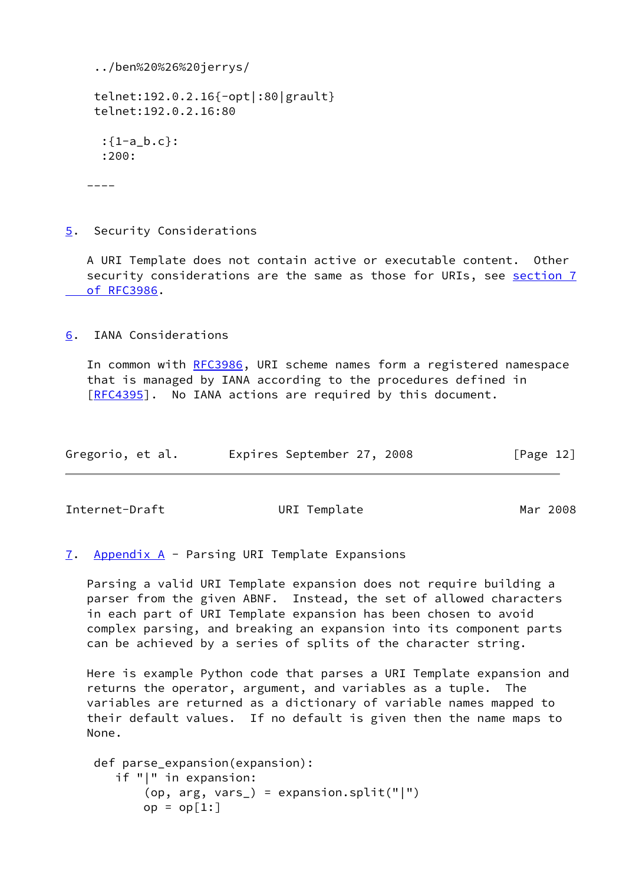```
 ../ben%20%26%20jerrys/
 telnet:192.0.2.16{-opt|:80|grault}
 telnet:192.0.2.16:80
 :{1-a\ b.c}:
  :200:
```
----

<span id="page-13-0"></span>[5](#page-13-0). Security Considerations

 A URI Template does not contain active or executable content. Other security considerations are the same as those for URIs, see [section](https://datatracker.ietf.org/doc/pdf/rfc3986#section-7) 7  [of RFC3986](https://datatracker.ietf.org/doc/pdf/rfc3986#section-7).

<span id="page-13-1"></span>[6](#page-13-1). IANA Considerations

In common with [RFC3986](https://datatracker.ietf.org/doc/pdf/rfc3986), URI scheme names form a registered namespace that is managed by IANA according to the procedures defined in [\[RFC4395](https://datatracker.ietf.org/doc/pdf/rfc4395)]. No IANA actions are required by this document.

| Gregorio, et al. | Expires September 27, 2008 |  | [Page 12] |
|------------------|----------------------------|--|-----------|
|------------------|----------------------------|--|-----------|

<span id="page-13-3"></span>Internet-Draft URI Template Mar 2008

<span id="page-13-2"></span>[7](#page-13-2). [Appendix A](#page-15-1) - Parsing URI Template Expansions

 Parsing a valid URI Template expansion does not require building a parser from the given ABNF. Instead, the set of allowed characters in each part of URI Template expansion has been chosen to avoid complex parsing, and breaking an expansion into its component parts can be achieved by a series of splits of the character string.

 Here is example Python code that parses a URI Template expansion and returns the operator, argument, and variables as a tuple. The variables are returned as a dictionary of variable names mapped to their default values. If no default is given then the name maps to None.

```
 def parse_expansion(expansion):
    if "|" in expansion:
        (op, arg, vars_) = expansion.split("|")
       op = op[1:]
```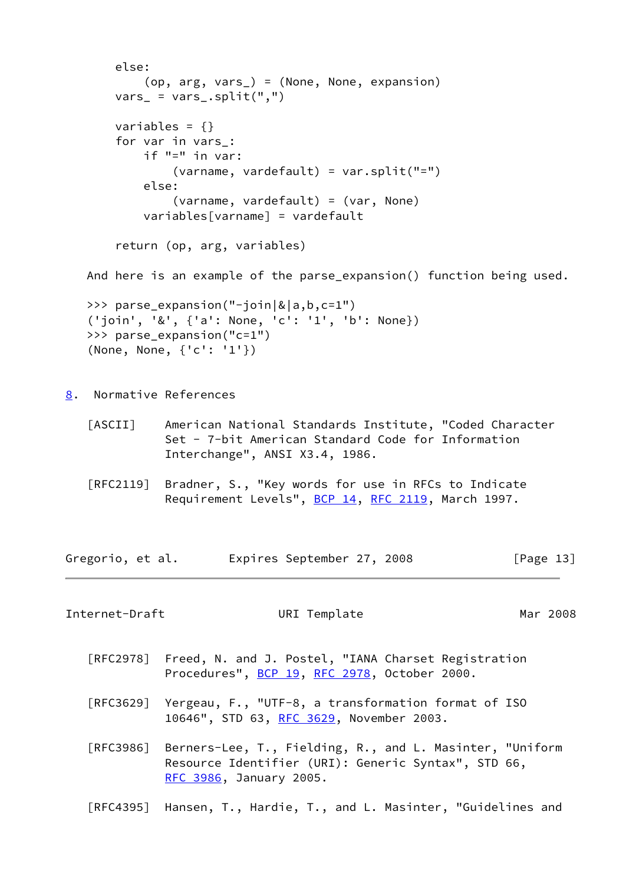```
 else:
         (op, arg, vars_) = (None, None, expansion)
    vars_{-} = vars_.split(",")
    variables = \{\} for var in vars_:
         if "=" in var:
              (varname, vardefault) = var.split("=")
         else:
              (varname, vardefault) = (var, None)
         variables[varname] = vardefault
     return (op, arg, variables)
 And here is an example of the parse_expansion() function being used.
 >>> parse_expansion("-join|&|a,b,c=1")
 ('join', '&', {'a': None, 'c': '1', 'b': None})
 >>> parse_expansion("c=1")
 (None, None, {'c': '1'})
```
<span id="page-14-0"></span>[8](#page-14-0). Normative References

<span id="page-14-2"></span>

| $\lceil \textsf{ASCII} \rceil$ | American National Standards Institute, "Coded Character |
|--------------------------------|---------------------------------------------------------|
|                                | Set - 7-bit American Standard Code for Information      |
|                                | Interchange", ANSI X3.4, 1986.                          |

 [RFC2119] Bradner, S., "Key words for use in RFCs to Indicate Requirement Levels", [BCP 14](https://datatracker.ietf.org/doc/pdf/bcp14), [RFC 2119](https://datatracker.ietf.org/doc/pdf/rfc2119), March 1997.

Gregorio, et al. Expires September 27, 2008 [Page 13]

<span id="page-14-1"></span>Internet-Draft URI Template Mar 2008

- [RFC2978] Freed, N. and J. Postel, "IANA Charset Registration Procedures", [BCP 19](https://datatracker.ietf.org/doc/pdf/bcp19), [RFC 2978](https://datatracker.ietf.org/doc/pdf/rfc2978), October 2000.
- [RFC3629] Yergeau, F., "UTF-8, a transformation format of ISO 10646", STD 63, [RFC 3629,](https://datatracker.ietf.org/doc/pdf/rfc3629) November 2003.
- [RFC3986] Berners-Lee, T., Fielding, R., and L. Masinter, "Uniform Resource Identifier (URI): Generic Syntax", STD 66, [RFC 3986,](https://datatracker.ietf.org/doc/pdf/rfc3986) January 2005.
- [RFC4395] Hansen, T., Hardie, T., and L. Masinter, "Guidelines and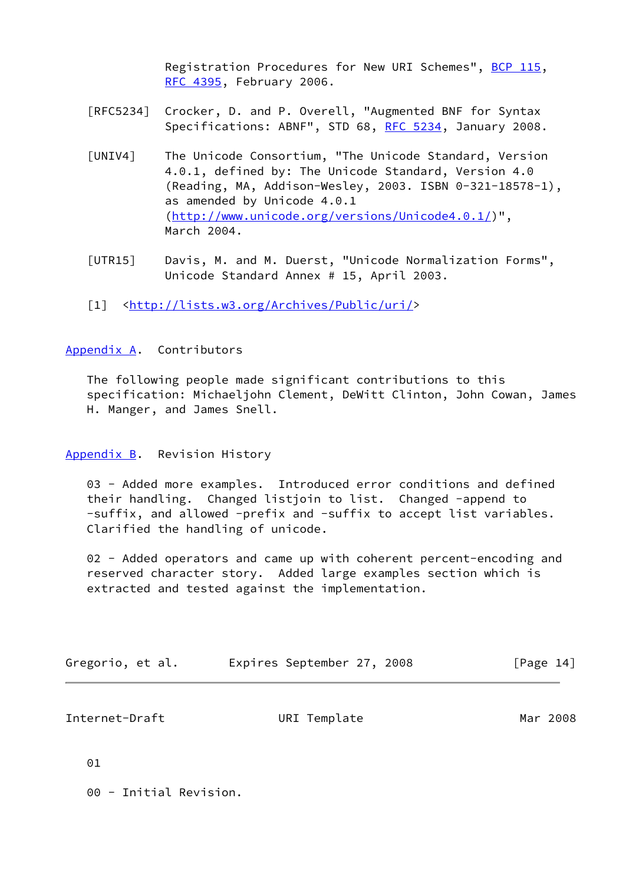Registration Procedures for New URI Schemes", [BCP 115](https://datatracker.ietf.org/doc/pdf/bcp115), [RFC 4395,](https://datatracker.ietf.org/doc/pdf/rfc4395) February 2006.

- [RFC5234] Crocker, D. and P. Overell, "Augmented BNF for Syntax Specifications: ABNF", STD 68, [RFC 5234](https://datatracker.ietf.org/doc/pdf/rfc5234), January 2008.
- <span id="page-15-4"></span> [UNIV4] The Unicode Consortium, "The Unicode Standard, Version 4.0.1, defined by: The Unicode Standard, Version 4.0 (Reading, MA, Addison-Wesley, 2003. ISBN 0-321-18578-1), as amended by Unicode 4.0.1 ([http://www.unicode.org/versions/Unicode4.0.1/\)](http://www.unicode.org/versions/Unicode4.0.1/)", March 2004.
- <span id="page-15-5"></span> [UTR15] Davis, M. and M. Duerst, "Unicode Normalization Forms", Unicode Standard Annex # 15, April 2003.
- <span id="page-15-0"></span>[1] [<http://lists.w3.org/Archives/Public/uri/](http://lists.w3.org/Archives/Public/uri/)>

## <span id="page-15-1"></span>[Appendix A.](#page-15-1) Contributors

 The following people made significant contributions to this specification: Michaeljohn Clement, DeWitt Clinton, John Cowan, James H. Manger, and James Snell.

## <span id="page-15-2"></span>[Appendix B.](#page-15-2) Revision History

 03 - Added more examples. Introduced error conditions and defined their handling. Changed listjoin to list. Changed -append to -suffix, and allowed -prefix and -suffix to accept list variables. Clarified the handling of unicode.

02 - Added operators and came up with coherent percent-encoding and reserved character story. Added large examples section which is extracted and tested against the implementation.

| Gregorio, et al. |  | Expires September 27, 2008 |  |  | [Page 14] |  |  |
|------------------|--|----------------------------|--|--|-----------|--|--|
|------------------|--|----------------------------|--|--|-----------|--|--|

<span id="page-15-3"></span>

| Internet-Draft | URI Template | Mar 2008 |
|----------------|--------------|----------|
|----------------|--------------|----------|

01

00 - Initial Revision.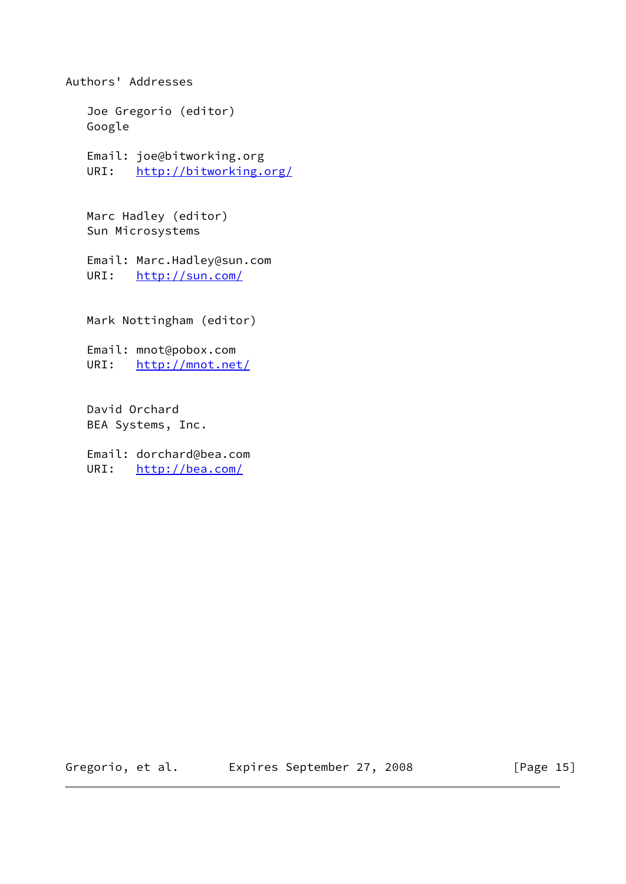Joe Gregorio (editor) Google Email: joe@bitworking.org URI: <http://bitworking.org/> Marc Hadley (editor) Sun Microsystems Email: Marc.Hadley@sun.com URI: <http://sun.com/> Mark Nottingham (editor) Email: mnot@pobox.com URI: <http://mnot.net/> David Orchard BEA Systems, Inc. Email: dorchard@bea.com URI: <http://bea.com/>

Authors' Addresses

Gregorio, et al. Expires September 27, 2008 [Page 15]